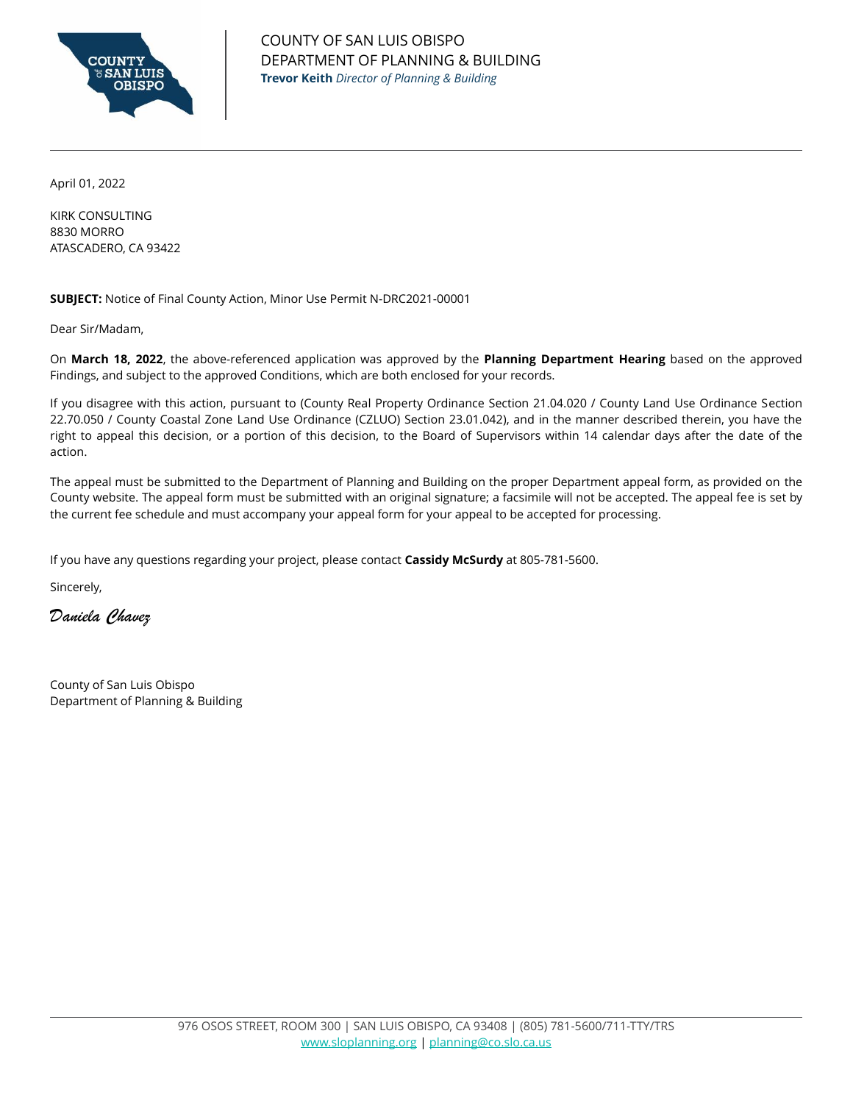

April 01, 2022

KIRK CONSULTING 8830 MORRO ATASCADERO, CA 93422

**SUBJECT:** Notice of Final County Action, Minor Use Permit N-DRC2021-00001

Dear Sir/Madam,

On **March 18, 2022**, the above-referenced application was approved by the **Planning Department Hearing** based on the approved Findings, and subject to the approved Conditions, which are both enclosed for your records.

If you disagree with this action, pursuant to (County Real Property Ordinance Section 21.04.020 / County Land Use Ordinance Section 22.70.050 / County Coastal Zone Land Use Ordinance (CZLUO) Section 23.01.042), and in the manner described therein, you have the right to appeal this decision, or a portion of this decision, to the Board of Supervisors within 14 calendar days after the date of the action.

The appeal must be submitted to the Department of Planning and Building on the proper Department appeal form, as provided on the County website. The appeal form must be submitted with an original signature; a facsimile will not be accepted. The appeal fee is set by the current fee schedule and must accompany your appeal form for your appeal to be accepted for processing.

If you have any questions regarding your project, please contact **Cassidy McSurdy** at 805-781-5600.

Sincerely,

*Daniela Chavez*

County of San Luis Obispo Department of Planning & Building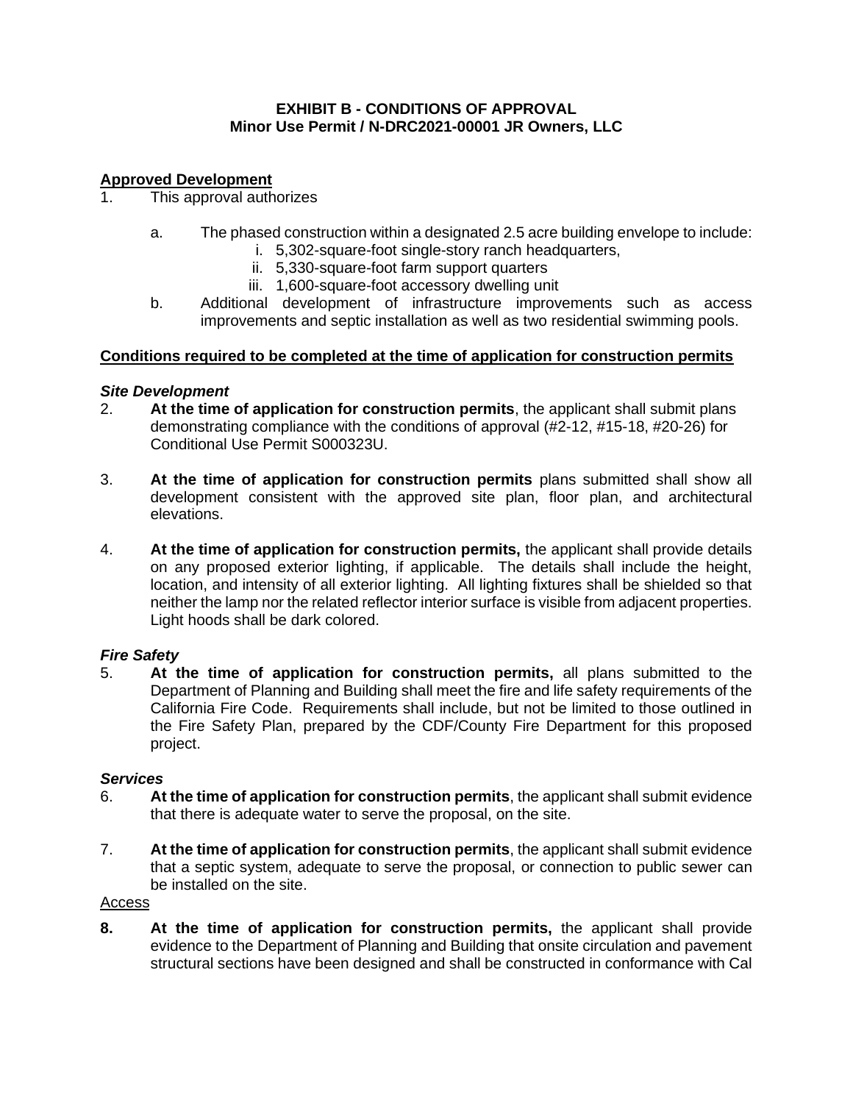## **EXHIBIT B - CONDITIONS OF APPROVAL Minor Use Permit / N-DRC2021-00001 JR Owners, LLC**

# **Approved Development**

- 1. This approval authorizes
	- a. The phased construction within a designated 2.5 acre building envelope to include:
		- i. 5,302-square-foot single-story ranch headquarters,
		- ii. 5,330-square-foot farm support quarters
		- iii. 1,600-square-foot accessory dwelling unit
	- b. Additional development of infrastructure improvements such as access improvements and septic installation as well as two residential swimming pools.

## **Conditions required to be completed at the time of application for construction permits**

## *Site Development*

- 2. **At the time of application for construction permits**, the applicant shall submit plans demonstrating compliance with the conditions of approval (#2-12, #15-18, #20-26) for Conditional Use Permit S000323U.
- 3. **At the time of application for construction permits** plans submitted shall show all development consistent with the approved site plan, floor plan, and architectural elevations.
- 4. **At the time of application for construction permits,** the applicant shall provide details on any proposed exterior lighting, if applicable. The details shall include the height, location, and intensity of all exterior lighting. All lighting fixtures shall be shielded so that neither the lamp nor the related reflector interior surface is visible from adjacent properties. Light hoods shall be dark colored.

# *Fire Safety*

5. **At the time of application for construction permits,** all plans submitted to the Department of Planning and Building shall meet the fire and life safety requirements of the California Fire Code. Requirements shall include, but not be limited to those outlined in the Fire Safety Plan, prepared by the CDF/County Fire Department for this proposed project.

#### *Services*

- 6. **At the time of application for construction permits**, the applicant shall submit evidence that there is adequate water to serve the proposal, on the site.
- 7. **At the time of application for construction permits**, the applicant shall submit evidence that a septic system, adequate to serve the proposal, or connection to public sewer can be installed on the site.

#### Access

**8. At the time of application for construction permits,** the applicant shall provide evidence to the Department of Planning and Building that onsite circulation and pavement structural sections have been designed and shall be constructed in conformance with Cal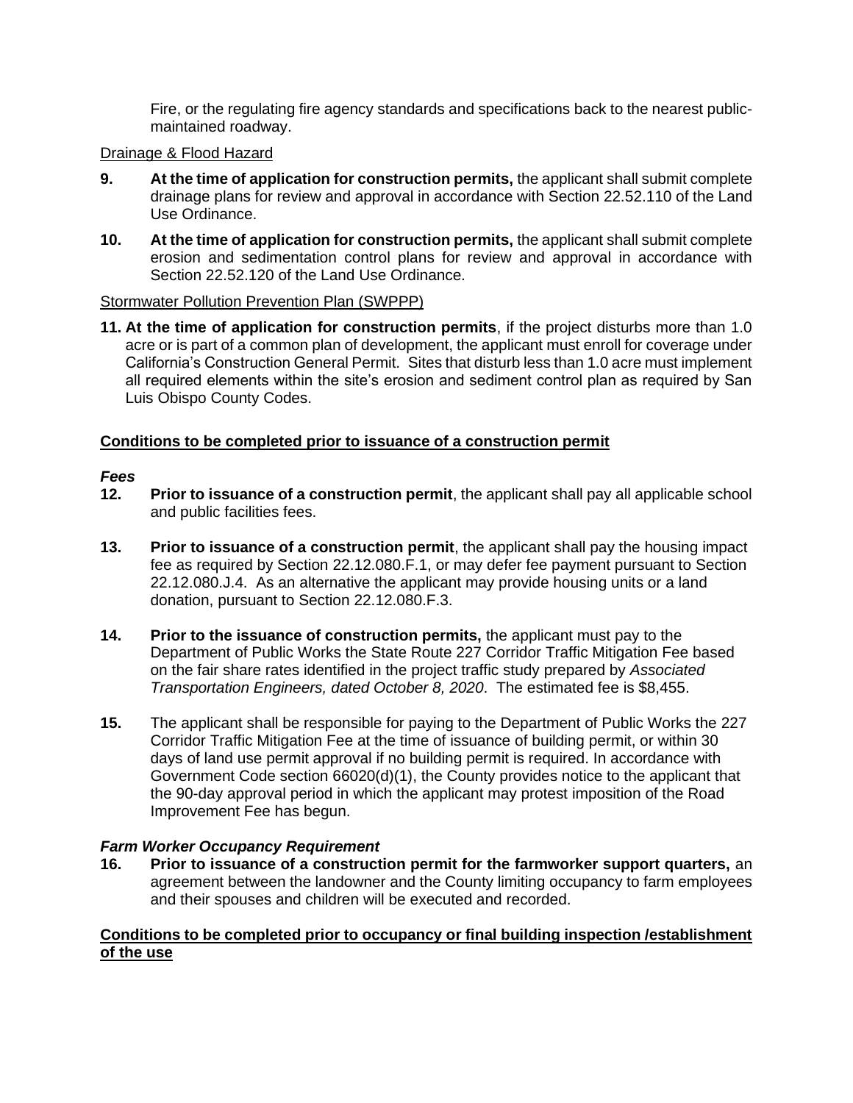Fire, or the regulating fire agency standards and specifications back to the nearest publicmaintained roadway.

# Drainage & Flood Hazard

- **9. At the time of application for construction permits,** the applicant shall submit complete drainage plans for review and approval in accordance with Section 22.52.110 of the Land Use Ordinance.
- **10. At the time of application for construction permits,** the applicant shall submit complete erosion and sedimentation control plans for review and approval in accordance with Section 22.52.120 of the Land Use Ordinance.

# Stormwater Pollution Prevention Plan (SWPPP)

**11. At the time of application for construction permits**, if the project disturbs more than 1.0 acre or is part of a common plan of development, the applicant must enroll for coverage under California's Construction General Permit. Sites that disturb less than 1.0 acre must implement all required elements within the site's erosion and sediment control plan as required by San Luis Obispo County Codes.

# **Conditions to be completed prior to issuance of a construction permit**

# *Fees*

- **12. Prior to issuance of a construction permit**, the applicant shall pay all applicable school and public facilities fees.
- **13. Prior to issuance of a construction permit**, the applicant shall pay the housing impact fee as required by Section 22.12.080.F.1, or may defer fee payment pursuant to Section 22.12.080.J.4. As an alternative the applicant may provide housing units or a land donation, pursuant to Section 22.12.080.F.3.
- **14. Prior to the issuance of construction permits,** the applicant must pay to the Department of Public Works the State Route 227 Corridor Traffic Mitigation Fee based on the fair share rates identified in the project traffic study prepared by *Associated Transportation Engineers, dated October 8, 2020*. The estimated fee is \$8,455.
- **15.** The applicant shall be responsible for paying to the Department of Public Works the 227 Corridor Traffic Mitigation Fee at the time of issuance of building permit, or within 30 days of land use permit approval if no building permit is required. In accordance with Government Code section 66020(d)(1), the County provides notice to the applicant that the 90-day approval period in which the applicant may protest imposition of the Road Improvement Fee has begun.

# *Farm Worker Occupancy Requirement*

**16. Prior to issuance of a construction permit for the farmworker support quarters,** an agreement between the landowner and the County limiting occupancy to farm employees and their spouses and children will be executed and recorded.

# **Conditions to be completed prior to occupancy or final building inspection /establishment of the use**